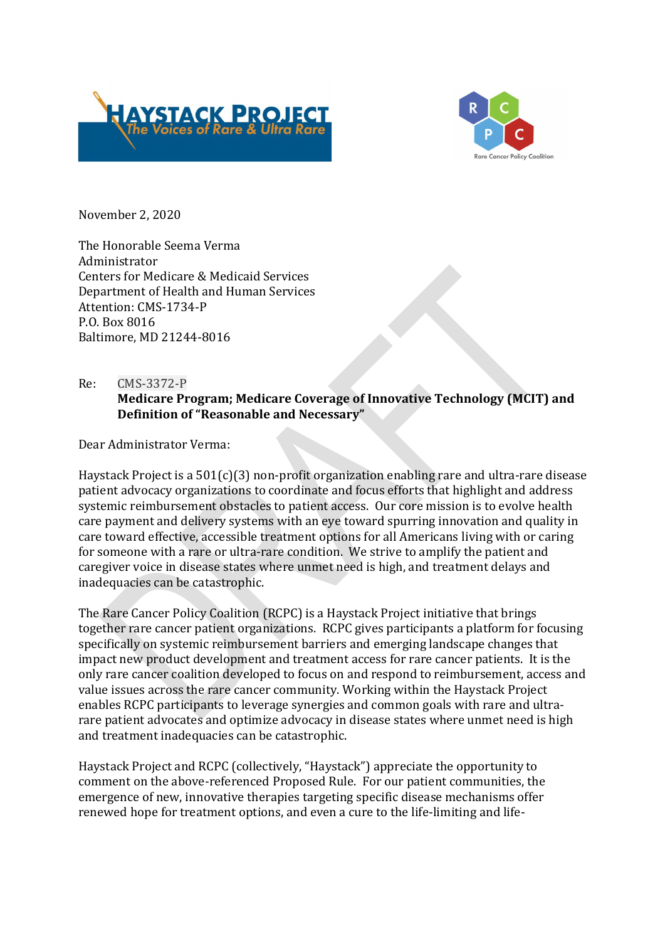



November 2, 2020

The Honorable Seema Verma Administrator Centers for Medicare & Medicaid Services Department of Health and Human Services Attention: CMS-1734-P P.O. Box 8016 Baltimore, MD 21244-8016

# Re: CMS-3372-P Medicare Program; Medicare Coverage of Innovative Technology (MCIT) and Definition of "Reasonable and Necessary"

Dear Administrator Verma:

Haystack Project is a 501(c)(3) non-profit organization enabling rare and ultra-rare disease patient advocacy organizations to coordinate and focus efforts that highlight and address systemic reimbursement obstacles to patient access. Our core mission is to evolve health care payment and delivery systems with an eye toward spurring innovation and quality in care toward effective, accessible treatment options for all Americans living with or caring for someone with a rare or ultra-rare condition. We strive to amplify the patient and caregiver voice in disease states where unmet need is high, and treatment delays and inadequacies can be catastrophic.

The Rare Cancer Policy Coalition (RCPC) is a Haystack Project initiative that brings together rare cancer patient organizations. RCPC gives participants a platform for focusing specifically on systemic reimbursement barriers and emerging landscape changes that impact new product development and treatment access for rare cancer patients. It is the only rare cancer coalition developed to focus on and respond to reimbursement, access and value issues across the rare cancer community. Working within the Haystack Project enables RCPC participants to leverage synergies and common goals with rare and ultrarare patient advocates and optimize advocacy in disease states where unmet need is high and treatment inadequacies can be catastrophic.

Haystack Project and RCPC (collectively, "Haystack") appreciate the opportunity to comment on the above-referenced Proposed Rule. For our patient communities, the emergence of new, innovative therapies targeting specific disease mechanisms offer renewed hope for treatment options, and even a cure to the life-limiting and life-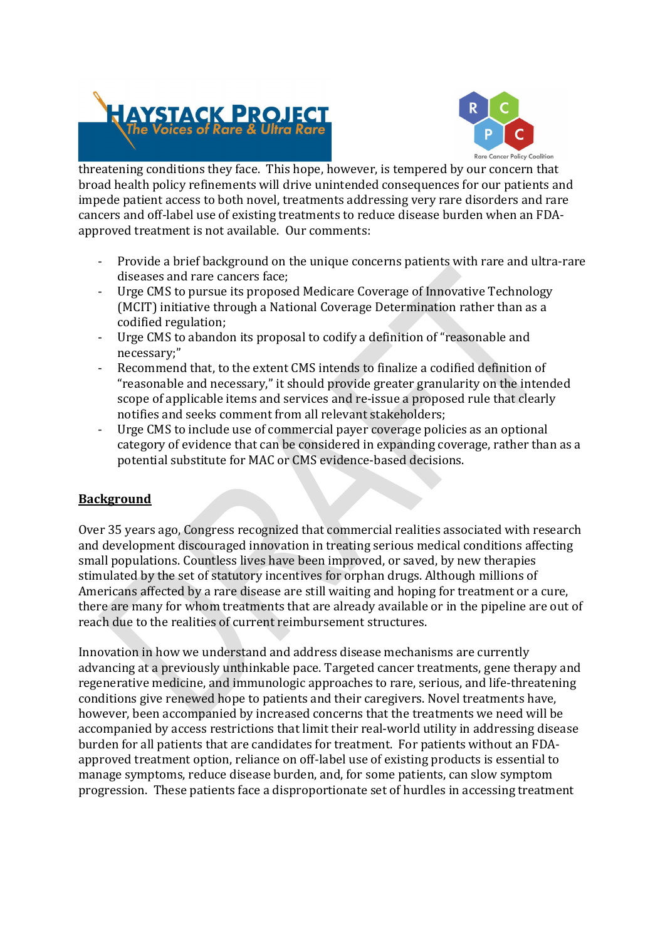



threatening conditions they face. This hope, however, is tempered by our concern that broad health policy refinements will drive unintended consequences for our patients and impede patient access to both novel, treatments addressing very rare disorders and rare cancers and off-label use of existing treatments to reduce disease burden when an FDAapproved treatment is not available. Our comments:<br>- Provide a brief background on the unique concerns patients with rare and ultra-rare

- diseases and rare cancers face; Urge CMS to pursue its proposed Medicare Coverage of Innovative Technology
- (MCIT) initiative through a National Coverage Determination rather than as a codified regulation;<br>Urge CMS to abandon its proposal to codify a definition of "reasonable and
- necessary;"<br>Recommend that, to the extent CMS intends to finalize a codified definition of
- "reasonable and necessary," it should provide greater granularity on the intended scope of applicable items and services and re-issue a proposed rule that clearly notifies and seeks comment from all relevant stakeholders;<br>Urge CMS to include use of commercial payer coverage policies as an optional
- category of evidence that can be considered in expanding coverage, rather than as a potential substitute for MAC or CMS evidence-based decisions.

## Background

Over 35 years ago, Congress recognized that commercial realities associated with research and development discouraged innovation in treating serious medical conditions affecting small populations. Countless lives have been improved, or saved, by new therapies stimulated by the set of statutory incentives for orphan drugs. Although millions of Americans affected by a rare disease are still waiting and hoping for treatment or a cure, there are many for whom treatments that are already available or in the pipeline are out of reach due to the realities of current reimbursement structures.

Innovation in how we understand and address disease mechanisms are currently advancing at a previously unthinkable pace. Targeted cancer treatments, gene therapy and regenerative medicine, and immunologic approaches to rare, serious, and life-threatening conditions give renewed hope to patients and their caregivers. Novel treatments have, however, been accompanied by increased concerns that the treatments we need will be accompanied by access restrictions that limit their real-world utility in addressing disease burden for all patients that are candidates for treatment. For patients without an FDAapproved treatment option, reliance on off-label use of existing products is essential to manage symptoms, reduce disease burden, and, for some patients, can slow symptom progression. These patients face a disproportionate set of hurdles in accessing treatment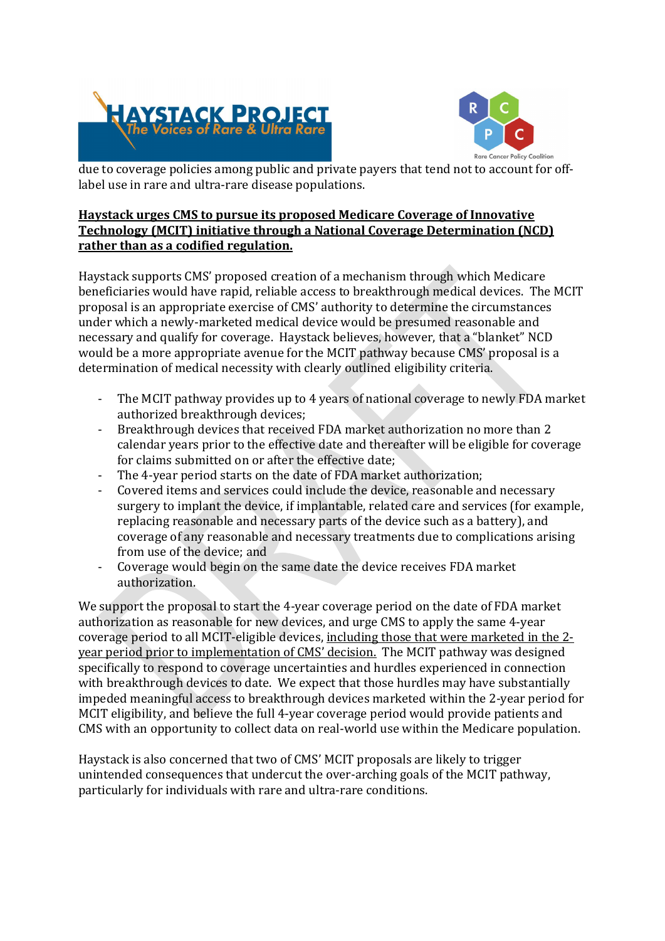



due to coverage policies among public and private payers that tend not to account for offlabel use in rare and ultra-rare disease populations.

### Haystack urges CMS to pursue its proposed Medicare Coverage of Innovative Technology (MCIT) initiative through a National Coverage Determination (NCD) rather than as a codified regulation.

Haystack supports CMS' proposed creation of a mechanism through which Medicare beneficiaries would have rapid, reliable access to breakthrough medical devices. The MCIT proposal is an appropriate exercise of CMS' authority to determine the circumstances under which a newly-marketed medical device would be presumed reasonable and necessary and qualify for coverage. Haystack believes, however, that a "blanket" NCD would be a more appropriate avenue for the MCIT pathway because CMS' proposal is a determination of medical necessity with clearly outlined eligibility criteria.<br>- The MCIT pathway provides up to 4 years of national coverage to newly FDA market

- 
- authorized breakthrough devices;<br>- Breakthrough devices that received FDA market authorization no more than 2 calendar years prior to the effective date and thereafter will be eligible for coverage for claims submitted on or after the effective date;<br>- The 4-year period starts on the date of FDA market authorization;<br>- Covered items and services could include the device, reasonable and necessary
- 
- surgery to implant the device, if implantable, related care and services (for example, replacing reasonable and necessary parts of the device such as a battery), and coverage of any reasonable and necessary treatments due to complications arising
- from use of the device; and<br>- Coverage would begin on the same date the device receives FDA market authorization.

We support the proposal to start the 4-year coverage period on the date of FDA market authorization as reasonable for new devices, and urge CMS to apply the same 4-year coverage period to all MCIT-eligible devices, including those that were marketed in the 2 year period prior to implementation of CMS' decision. The MCIT pathway was designed specifically to respond to coverage uncertainties and hurdles experienced in connection with breakthrough devices to date. We expect that those hurdles may have substantially impeded meaningful access to breakthrough devices marketed within the 2-year period for MCIT eligibility, and believe the full 4-year coverage period would provide patients and CMS with an opportunity to collect data on real-world use within the Medicare population.

Haystack is also concerned that two of CMS' MCIT proposals are likely to trigger unintended consequences that undercut the over-arching goals of the MCIT pathway, particularly for individuals with rare and ultra-rare conditions.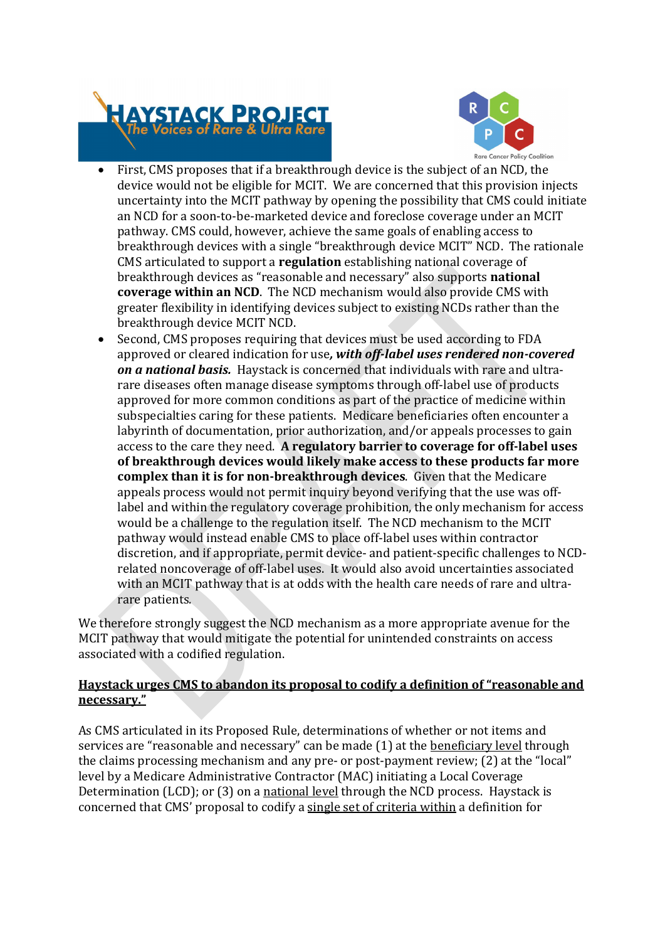



- First, CMS proposes that if a breakthrough device is the subject of an NCD, the device would not be eligible for MCIT. We are concerned that this provision injects uncertainty into the MCIT pathway by opening the possibility that CMS could initiate an NCD for a soon-to-be-marketed device and foreclose coverage under an MCIT pathway. CMS could, however, achieve the same goals of enabling access to breakthrough devices with a single "breakthrough device MCIT" NCD. The rationale CMS articulated to support a regulation establishing national coverage of breakthrough devices as "reasonable and necessary" also supports national coverage within an NCD. The NCD mechanism would also provide CMS with greater flexibility in identifying devices subject to existing NCDs rather than the breakthrough device MCIT NCD.
- Second, CMS proposes requiring that devices must be used according to FDA approved or cleared indication for use, with off-label uses rendered non-covered on a national basis. Haystack is concerned that individuals with rare and ultrarare diseases often manage disease symptoms through off-label use of products approved for more common conditions as part of the practice of medicine within subspecialties caring for these patients. Medicare beneficiaries often encounter a labyrinth of documentation, prior authorization, and/or appeals processes to gain access to the care they need. A regulatory barrier to coverage for off-label uses of breakthrough devices would likely make access to these products far more complex than it is for non-breakthrough devices. Given that the Medicare appeals process would not permit inquiry beyond verifying that the use was offlabel and within the regulatory coverage prohibition, the only mechanism for access would be a challenge to the regulation itself. The NCD mechanism to the MCIT pathway would instead enable CMS to place off-label uses within contractor discretion, and if appropriate, permit device- and patient-specific challenges to NCDrelated noncoverage of off-label uses. It would also avoid uncertainties associated with an MCIT pathway that is at odds with the health care needs of rare and ultrarare patients.

We therefore strongly suggest the NCD mechanism as a more appropriate avenue for the MCIT pathway that would mitigate the potential for unintended constraints on access associated with a codified regulation.

### Haystack urges CMS to abandon its proposal to codify a definition of "reasonable and necessary."

As CMS articulated in its Proposed Rule, determinations of whether or not items and services are "reasonable and necessary" can be made (1) at the **beneficiary level** through the claims processing mechanism and any pre- or post-payment review; (2) at the "local" level by a Medicare Administrative Contractor (MAC) initiating a Local Coverage Determination (LCD); or (3) on a national level through the NCD process. Haystack is concerned that CMS' proposal to codify a single set of criteria within a definition for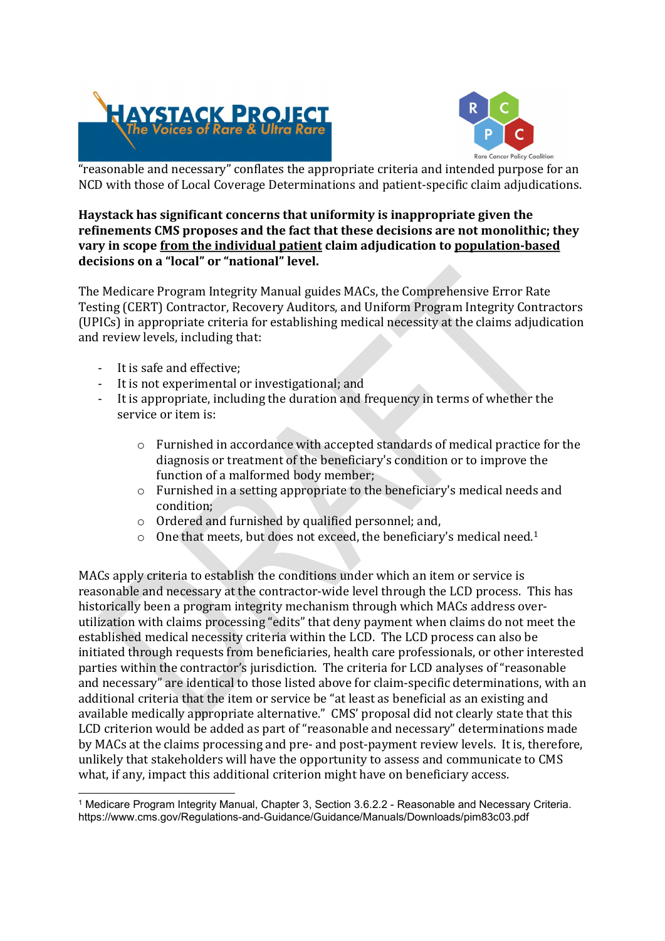



"reasonable and necessary" conflates the appropriate criteria and intended purpose for an NCD with those of Local Coverage Determinations and patient-specific claim adjudications.

# Haystack has significant concerns that uniformity is inappropriate given the refinements CMS proposes and the fact that these decisions are not monolithic; they vary in scope from the individual patient claim adjudication to population-based decisions on a "local" or "national" level.<br>The Medicare Program Integrity Manual guides MACs, the Comprehensive Error Rate

Testing (CERT) Contractor, Recovery Auditors, and Uniform Program Integrity Contractors (UPICs) in appropriate criteria for establishing medical necessity at the claims adjudication and review levels, including that:<br>- It is safe and effective;<br>- It is not experimental or investigational; and<br>- It is appropriate, including the duration and frequency in terms of whether the

- 
- 
- service or item is:
	- $\circ$  Furnished in accordance with accepted standards of medical practice for the diagnosis or treatment of the beneficiary's condition or to improve the function of a malformed body member;
	- o Furnished in a setting appropriate to the beneficiary's medical needs and condition;
	- o Ordered and furnished by qualified personnel; and,
	- o One that meets, but does not exceed, the beneficiary's medical need.1

MACs apply criteria to establish the conditions under which an item or service is reasonable and necessary at the contractor-wide level through the LCD process. This has historically been a program integrity mechanism through which MACs address overutilization with claims processing "edits" that deny payment when claims do not meet the established medical necessity criteria within the LCD. The LCD process can also be initiated through requests from beneficiaries, health care professionals, or other interested parties within the contractor's jurisdiction. The criteria for LCD analyses of "reasonable and necessary" are identical to those listed above for claim-specific determinations, with an additional criteria that the item or service be "at least as beneficial as an existing and available medically appropriate alternative." CMS' proposal did not clearly state that this LCD criterion would be added as part of "reasonable and necessary" determinations made by MACs at the claims processing and pre- and post-payment review levels. It is, therefore, unlikely that stakeholders will have the opportunity to assess and communicate to CMS what, if any, impact this additional criterion might have on beneficiary access.

<sup>1</sup> Medicare Program Integrity Manual, Chapter 3, Section 3.6.2.2 - Reasonable and Necessary Criteria. https://www.cms.gov/Regulations-and-Guidance/Guidance/Manuals/Downloads/pim83c03.pdf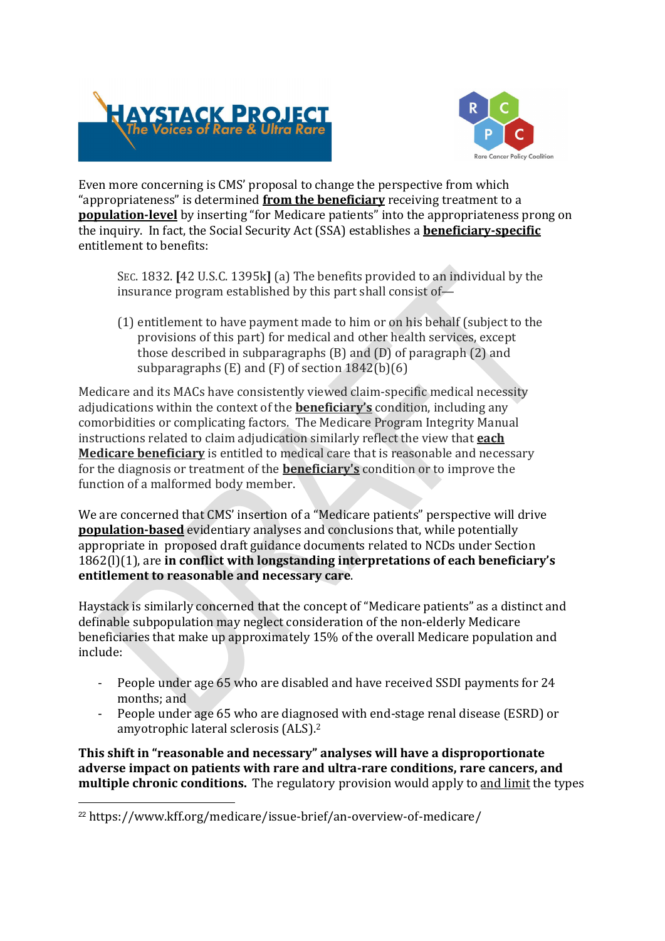



Even more concerning is CMS' proposal to change the perspective from which "appropriateness" is determined from the beneficiary receiving treatment to a population-level by inserting "for Medicare patients" into the appropriateness prong on the inquiry. In fact, the Social Security Act (SSA) establishes a **beneficiary-specific** entitlement to benefits:

SEC. 1832. [42 U.S.C. 1395k] (a) The benefits provided to an individual by the insurance program established by this part shall consist of—

(1) entitlement to have payment made to him or on his behalf (subject to the provisions of this part) for medical and other health services, except those described in subparagraphs (B) and (D) of paragraph (2) and subparagraphs (E) and (F) of section 1842(b)(6)

Medicare and its MACs have consistently viewed claim-specific medical necessity adjudications within the context of the **beneficiary's** condition, including any comorbidities or complicating factors. The Medicare Program Integrity Manual instructions related to claim adjudication similarly reflect the view that each Medicare beneficiary is entitled to medical care that is reasonable and necessary for the diagnosis or treatment of the **beneficiary's** condition or to improve the function of a malformed body member.

We are concerned that CMS' insertion of a "Medicare patients" perspective will drive population-based evidentiary analyses and conclusions that, while potentially appropriate in proposed draft guidance documents related to NCDs under Section 1862(l)(1), are in conflict with longstanding interpretations of each beneficiary's entitlement to reasonable and necessary care.<br>Haystack is similarly concerned that the concept of "Medicare patients" as a distinct and

definable subpopulation may neglect consideration of the non-elderly Medicare beneficiaries that make up approximately 15% of the overall Medicare population and include: - People under age 65 who are disabled and have received SSDI payments for 24

- 
- months; and <br>- People under age 65 who are diagnosed with end-stage renal disease (ESRD) or amyotrophic lateral sclerosis (ALS).2

This shift in "reasonable and necessary" analyses will have a disproportionate adverse impact on patients with rare and ultra-rare conditions, rare cancers, and multiple chronic conditions. The regulatory provision would apply to and limit the types

<sup>22</sup> https://www.kff.org/medicare/issue-brief/an-overview-of-medicare/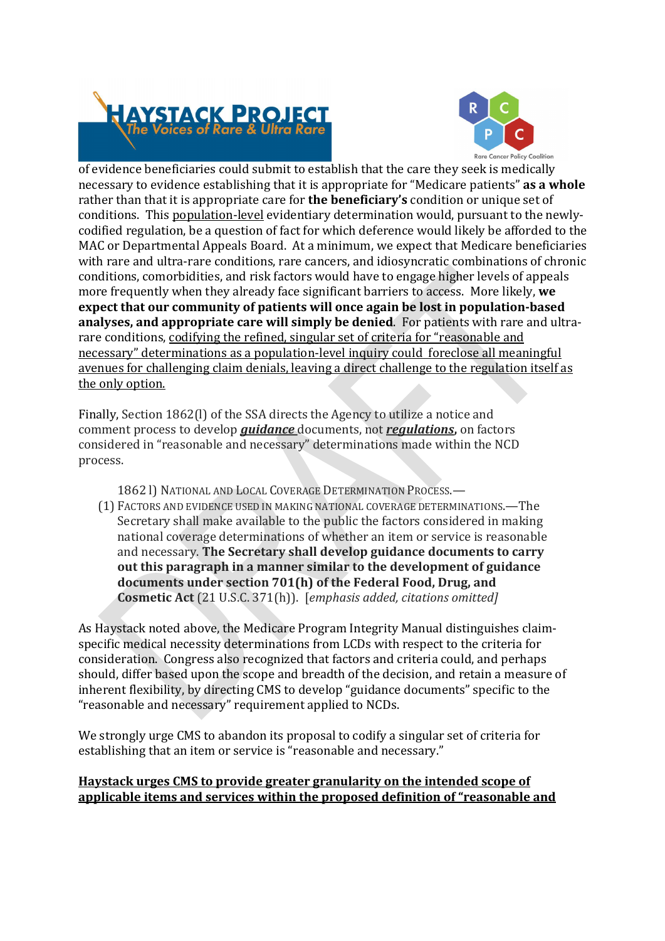



of evidence beneficiaries could submit to establish that the care they seek is medically necessary to evidence establishing that it is appropriate for "Medicare patients" as a whole rather than that it is appropriate care for **the beneficiary's** condition or unique set of conditions. This population-level evidentiary determination would, pursuant to the newlycodified regulation, be a question of fact for which deference would likely be afforded to the MAC or Departmental Appeals Board. At a minimum, we expect that Medicare beneficiaries with rare and ultra-rare conditions, rare cancers, and idiosyncratic combinations of chronic conditions, comorbidities, and risk factors would have to engage higher levels of appeals more frequently when they already face significant barriers to access. More likely, we expect that our community of patients will once again be lost in population-based analyses, and appropriate care will simply be denied. For patients with rare and ultrarare conditions, codifying the refined, singular set of criteria for "reasonable and necessary" determinations as a population-level inquiry could foreclose all meaningful avenues for challenging claim denials, leaving a direct challenge to the regulation itself as the only option.

Finally, Section 1862(l) of the SSA directs the Agency to utilize a notice and comment process to develop *quidance* documents, not *requlations*, on factors considered in "reasonable and necessary" determinations made within the NCD process.

1862 l) NATIONAL AND LOCAL COVERAGE DETERMINATION PROCESS.— (1) FACTORS AND EVIDENCE USED IN MAKING NATIONAL COVERAGE DETERMINATIONS.—The Secretary shall make available to the public the factors considered in making national coverage determinations of whether an item or service is reasonable and necessary. The Secretary shall develop guidance documents to carry out this paragraph in a manner similar to the development of guidance documents under section 701(h) of the Federal Food, Drug, and Cosmetic Act (21 U.S.C. 371(h)). [emphasis added, citations omitted]

As Haystack noted above, the Medicare Program Integrity Manual distinguishes claimspecific medical necessity determinations from LCDs with respect to the criteria for consideration. Congress also recognized that factors and criteria could, and perhaps should, differ based upon the scope and breadth of the decision, and retain a measure of inherent flexibility, by directing CMS to develop "guidance documents" specific to the "reasonable and necessary" requirement applied to NCDs.

We strongly urge CMS to abandon its proposal to codify a singular set of criteria for establishing that an item or service is "reasonable and necessary."

### Haystack urges CMS to provide greater granularity on the intended scope of applicable items and services within the proposed definition of "reasonable and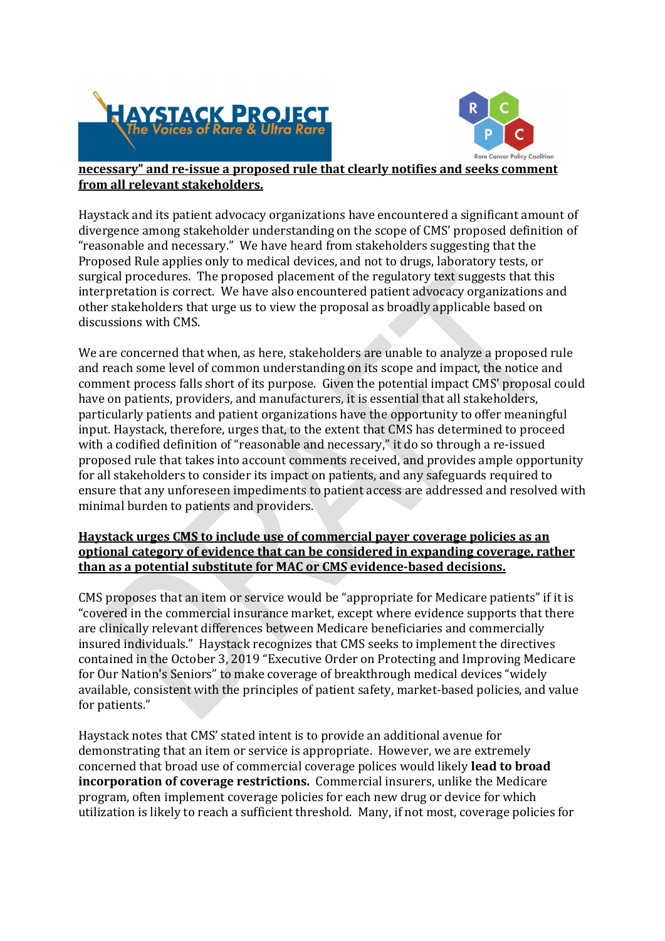



#### necessary" and re-issue a proposed rule that clearly notifies and seeks comment from all relevant stakeholders.

Haystack and its patient advocacy organizations have encountered a significant amount of divergence among stakeholder understanding on the scope of CMS' proposed definition of "reasonable and necessary." We have heard from stakeholders suggesting that the Proposed Rule applies only to medical devices, and not to drugs, laboratory tests, or surgical procedures. The proposed placement of the regulatory text suggests that this interpretation is correct. We have also encountered patient advocacy organizations and other stakeholders that urge us to view the proposal as broadly applicable based on discussions with CMS.

We are concerned that when, as here, stakeholders are unable to analyze a proposed rule and reach some level of common understanding on its scope and impact, the notice and comment process falls short of its purpose. Given the potential impact CMS' proposal could have on patients, providers, and manufacturers, it is essential that all stakeholders, particularly patients and patient organizations have the opportunity to offer meaningful input. Haystack, therefore, urges that, to the extent that CMS has determined to proceed with a codified definition of "reasonable and necessary," it do so through a re-issued proposed rule that takes into account comments received, and provides ample opportunity for all stakeholders to consider its impact on patients, and any safeguards required to ensure that any unforeseen impediments to patient access are addressed and resolved with minimal burden to patients and providers.

### Haystack urges CMS to include use of commercial payer coverage policies as an optional category of evidence that can be considered in expanding coverage, rather than as a potential substitute for MAC or CMS evidence-based decisions.

CMS proposes that an item or service would be "appropriate for Medicare patients" if it is "covered in the commercial insurance market, except where evidence supports that there are clinically relevant differences between Medicare beneficiaries and commercially insured individuals." Haystack recognizes that CMS seeks to implement the directives contained in the October 3, 2019 "Executive Order on Protecting and Improving Medicare for Our Nation's Seniors" to make coverage of breakthrough medical devices "widely available, consistent with the principles of patient safety, market-based policies, and value for patients." 

Haystack notes that CMS' stated intent is to provide an additional avenue for demonstrating that an item or service is appropriate. However, we are extremely concerned that broad use of commercial coverage polices would likely lead to broad incorporation of coverage restrictions. Commercial insurers, unlike the Medicare program, often implement coverage policies for each new drug or device for which utilization is likely to reach a sufficient threshold. Many, if not most, coverage policies for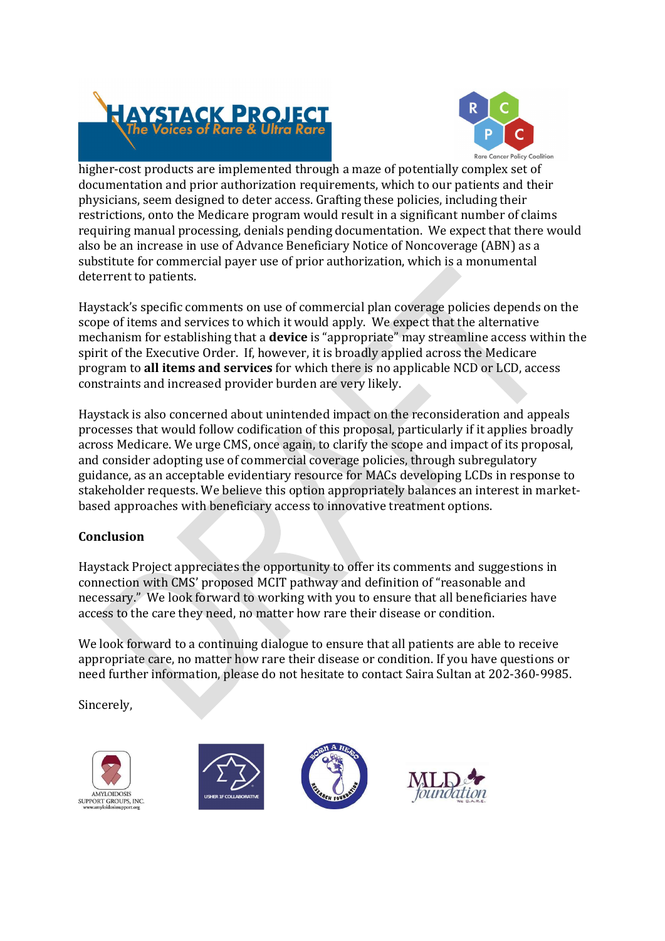



higher-cost products are implemented through a maze of potentially complex set of documentation and prior authorization requirements, which to our patients and their physicians, seem designed to deter access. Grafting these policies, including their restrictions, onto the Medicare program would result in a significant number of claims requiring manual processing, denials pending documentation. We expect that there would also be an increase in use of Advance Beneficiary Notice of Noncoverage (ABN) as a substitute for commercial payer use of prior authorization, which is a monumental deterrent to patients.

Haystack's specific comments on use of commercial plan coverage policies depends on the scope of items and services to which it would apply. We expect that the alternative mechanism for establishing that a device is "appropriate" may streamline access within the spirit of the Executive Order. If, however, it is broadly applied across the Medicare program to all items and services for which there is no applicable NCD or LCD, access constraints and increased provider burden are very likely.

Haystack is also concerned about unintended impact on the reconsideration and appeals processes that would follow codification of this proposal, particularly if it applies broadly across Medicare. We urge CMS, once again, to clarify the scope and impact of its proposal, and consider adopting use of commercial coverage policies, through subregulatory guidance, as an acceptable evidentiary resource for MACs developing LCDs in response to stakeholder requests. We believe this option appropriately balances an interest in marketbased approaches with beneficiary access to innovative treatment options.

## Conclusion

Haystack Project appreciates the opportunity to offer its comments and suggestions in connection with CMS' proposed MCIT pathway and definition of "reasonable and necessary." We look forward to working with you to ensure that all beneficiaries have access to the care they need, no matter how rare their disease or condition.

We look forward to a continuing dialogue to ensure that all patients are able to receive appropriate care, no matter how rare their disease or condition. If you have questions or need further information, please do not hesitate to contact Saira Sultan at 202-360-9985.

Sincerely,